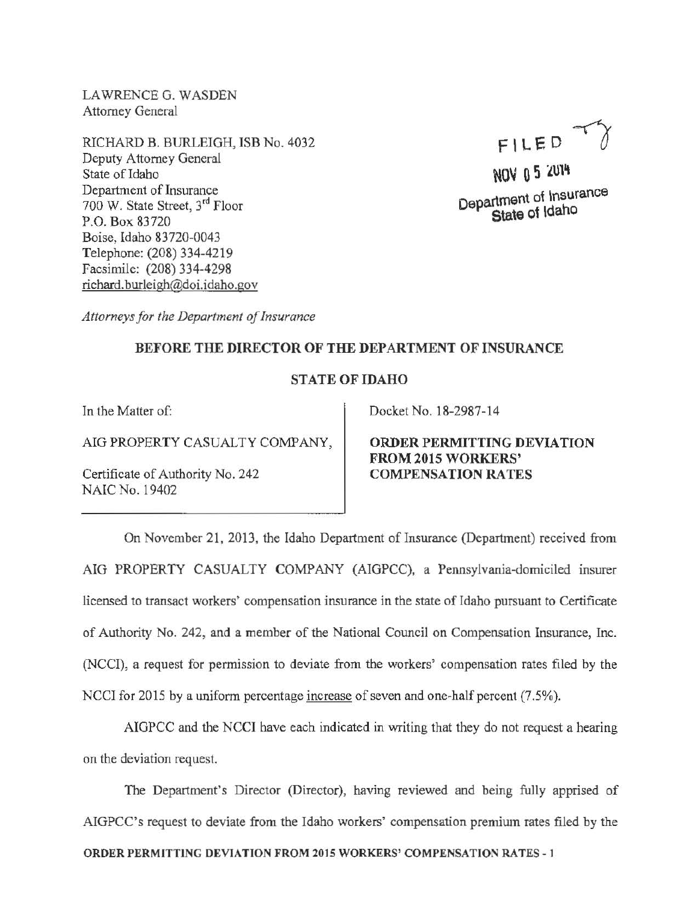LAWRENCE G. WASDEN Attorney General

RICHARD B. BURLEIGH, ISB No. 4032 Deputy Attorney General State of Idaho Department of Insurance 700 W. State Street, 3rd Floor P.O. Box 83720 Boise, Idaho 83720-0043 Telephone: (208) 334-4219 Facsimile: (208) 334-4298 richard. burleigh@doi. idaho. gov

FlLED ~

NOV 0 5 2014 Department of Insurance State of ldaho

*Attorneys for the Department of Insurance* 

## BEFORE THE DIRECTOR OF THE DEPARTMENT OF INSURANCE

## STATE OF IDAHO

In the Matter of:

AIG PROPERTY CASUALTY COMPANY,

Certificate of Authority No. 242 NAIC No. 19402

Docket No. 18-2987-14

ORDER PERMITTING DEVIATION FROM 2015 WORKERS' COMPENSATION RATES

On November 21, 2013, the Idaho Department of Insurance (Department) received from AIG PROPERTY CASUALTY COMPANY (AIGPCC), a Pennsylvania-domiciled insurer licensed to transact workers' compensation insurance in the state of Idaho pursuant to Certificate of Authority No. 242, and a member of the National Council on Compensation Insurance, Inc. (NCCI), a request for permission to deviate from the workers' compensation rates filed by the NCCI for 2015 by a uniform percentage increase of seven and one-half percent (7.5%).

AIGPCC and the NCCI have each indicated in writing that they do not request a hearing on the deviation request.

The Department's Director (Director), having reviewed and being fully apprised of AIGPCC's request to deviate from the Idaho workers' compensation premium rates flied by the ORDER PERMITTING DEVIATION FROM 2015 WORKERS' COMPENSATION RATES -1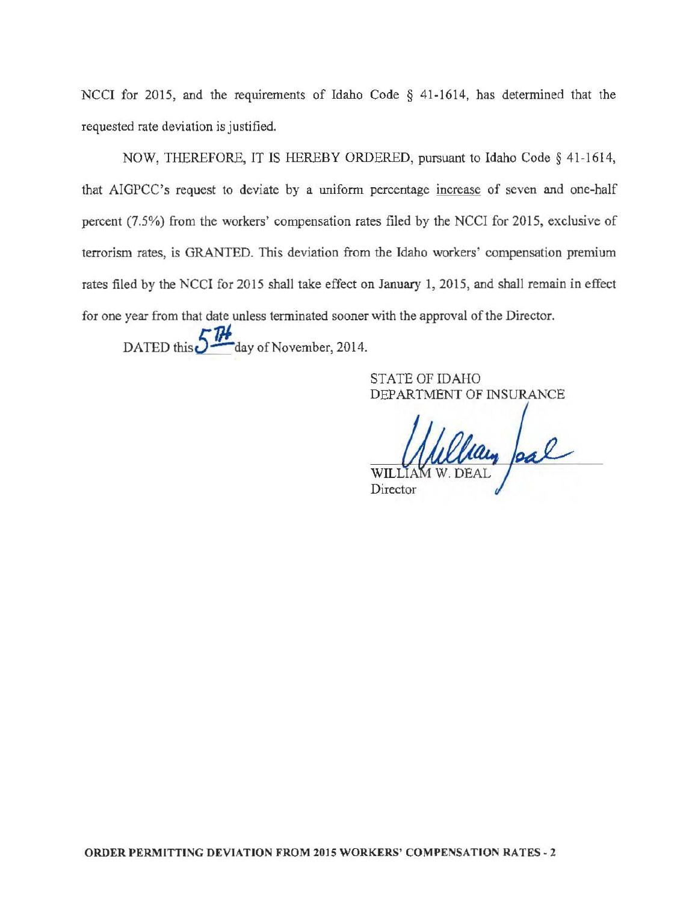NCCI for 2015, and the requirements of Idaho Code § 41-1614, has determined that the requested rate deviation is justified.

NOW, THEREFORE, IT IS HEREBY ORDERED, pursuant to Idaho Code § 41-1614, that AIGPCC's request to deviate by a uniform percentage increase of seven and one-half percent (7.5%) from the workers' compensation rates filed by the NCCI for 2015, exclusive of terrorism rates, is GRANTED. This deviation from the Idaho workers' compensation premium rates filed by the NCCI for 2015 shall take effect on January 1, 2015, and shall remain in effect for one year from that date unless terminated sooner with the approval of the Director.

DATED this  $5<sup>1</sup>$  day of November, 2014.

STATE OF IDAHO DEPARTMENT OF INSURANCE

lan pal Director